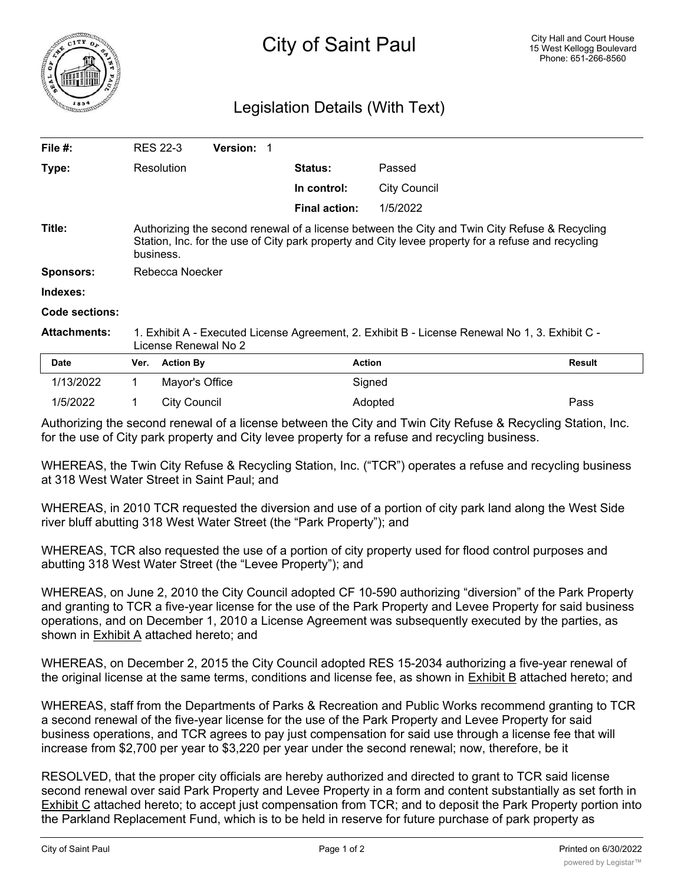

## Legislation Details (With Text)

| File #:             | <b>RES 22-3</b>                                                                                                                                                                                                  | <b>Version: 1</b> |                      |                     |        |
|---------------------|------------------------------------------------------------------------------------------------------------------------------------------------------------------------------------------------------------------|-------------------|----------------------|---------------------|--------|
| Type:               | Resolution                                                                                                                                                                                                       |                   | <b>Status:</b>       | Passed              |        |
|                     |                                                                                                                                                                                                                  |                   | In control:          | <b>City Council</b> |        |
|                     |                                                                                                                                                                                                                  |                   | <b>Final action:</b> | 1/5/2022            |        |
| Title:              | Authorizing the second renewal of a license between the City and Twin City Refuse & Recycling<br>Station, Inc. for the use of City park property and City levee property for a refuse and recycling<br>business. |                   |                      |                     |        |
| Sponsors:           | Rebecca Noecker                                                                                                                                                                                                  |                   |                      |                     |        |
| Indexes:            |                                                                                                                                                                                                                  |                   |                      |                     |        |
| Code sections:      |                                                                                                                                                                                                                  |                   |                      |                     |        |
| <b>Attachments:</b> | 1. Exhibit A - Executed License Agreement, 2. Exhibit B - License Renewal No 1, 3. Exhibit C -<br>License Renewal No 2                                                                                           |                   |                      |                     |        |
| <b>Date</b>         | <b>Action By</b><br>Ver.                                                                                                                                                                                         |                   | <b>Action</b>        |                     | Result |
| 1/13/2022           |                                                                                                                                                                                                                  | Mayor's Office    | Signed               |                     |        |
|                     |                                                                                                                                                                                                                  |                   |                      |                     |        |

Authorizing the second renewal of a license between the City and Twin City Refuse & Recycling Station, Inc. for the use of City park property and City levee property for a refuse and recycling business.

1/5/2022 1 City Council Adopted Pass

WHEREAS, the Twin City Refuse & Recycling Station, Inc. ("TCR") operates a refuse and recycling business at 318 West Water Street in Saint Paul; and

WHEREAS, in 2010 TCR requested the diversion and use of a portion of city park land along the West Side river bluff abutting 318 West Water Street (the "Park Property"); and

WHEREAS, TCR also requested the use of a portion of city property used for flood control purposes and abutting 318 West Water Street (the "Levee Property"); and

WHEREAS, on June 2, 2010 the City Council adopted CF 10-590 authorizing "diversion" of the Park Property and granting to TCR a five-year license for the use of the Park Property and Levee Property for said business operations, and on December 1, 2010 a License Agreement was subsequently executed by the parties, as shown in Exhibit A attached hereto; and

WHEREAS, on December 2, 2015 the City Council adopted RES 15-2034 authorizing a five-year renewal of the original license at the same terms, conditions and license fee, as shown in Exhibit B attached hereto; and

WHEREAS, staff from the Departments of Parks & Recreation and Public Works recommend granting to TCR a second renewal of the five-year license for the use of the Park Property and Levee Property for said business operations, and TCR agrees to pay just compensation for said use through a license fee that will increase from \$2,700 per year to \$3,220 per year under the second renewal; now, therefore, be it

RESOLVED, that the proper city officials are hereby authorized and directed to grant to TCR said license second renewal over said Park Property and Levee Property in a form and content substantially as set forth in Exhibit C attached hereto; to accept just compensation from TCR; and to deposit the Park Property portion into the Parkland Replacement Fund, which is to be held in reserve for future purchase of park property as